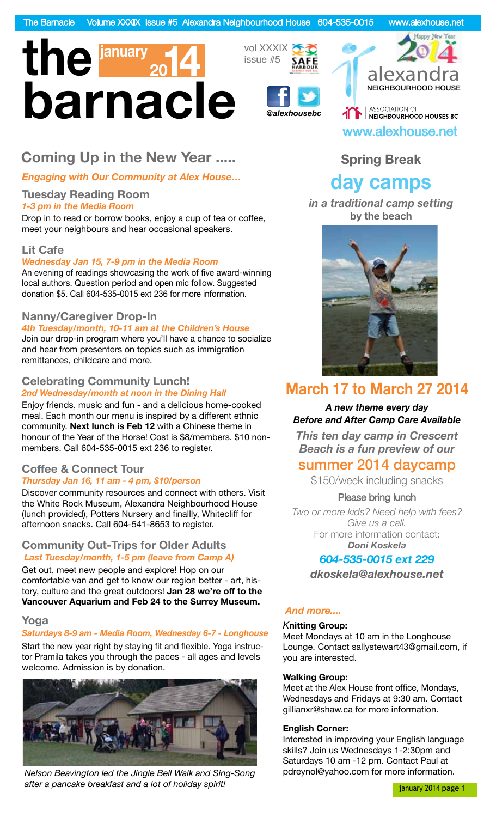

## **Coming Up in the New Year .....**

*Engaging with Our Community at Alex House…*

#### **Tuesday Reading Room** *1-3 pm in the Media Room*

Drop in to read or borrow books, enjoy a cup of tea or coffee, meet your neighbours and hear occasional speakers.

#### **Lit Cafe**

*Wednesday Jan 15, 7-9 pm in the Media Room*

An evening of readings showcasing the work of five award-winning local authors. Question period and open mic follow. Suggested donation \$5. Call 604-535-0015 ext 236 for more information.

#### **Nanny/Caregiver Drop-In**

*4th Tuesday/month, 10-11 am at the Children's House* Join our drop-in program where you'll have a chance to socialize and hear from presenters on topics such as immigration

remittances, childcare and more.

#### **Celebrating Community Lunch!** *2nd Wednesday/month at noon in the Dining Hall*

Enjoy friends, music and fun - and a delicious home-cooked meal. Each month our menu is inspired by a different ethnic community. **Next lunch is Feb 12** with a Chinese theme in honour of the Year of the Horse! Cost is \$8/members. \$10 nonmembers. Call 604-535-0015 ext 236 to register.

#### **Coffee & Connect Tour** *Thursday Jan 16, 11 am - 4 pm, \$10/person*

Discover community resources and connect with others. Visit the White Rock Museum, Alexandra Neighbourhood House (lunch provided), Potters Nursery and finallly, Whitecliff for afternoon snacks. Call 604-541-8653 to register.

#### **Community Out-Trips for Older Adults** *Last Tuesday/month, 1-5 pm (leave from Camp A)*

Get out, meet new people and explore! Hop on our comfortable van and get to know our region better - art, history, culture and the great outdoors! **Jan 28 we're off to the Vancouver Aquarium and Feb 24 to the Surrey Museum.**

#### **Yoga**

#### *Saturdays 8-9 am - Media Room, Wednesday 6-7 - Longhouse*

Start the new year right by staying fit and flexible. Yoga instructor Pramila takes you through the paces - all ages and levels welcome. Admission is by donation.



*Nelson Beavington led the Jingle Bell Walk and Sing-Song after a pancake breakfast and a lot of holiday spirit!*

vol XXXIX issue #5



NEIGHBOURHOOD HOUSE **AND ASSOCIATION OF SECTION OF SECTA PROPERTY** www.alexhouse.net

Happy New Year

## **Spring Break**

# **day camps**

*in a traditional camp setting*  **by the beach**



# **March 17 to March 27 2014**

#### *A new theme every day Before and After Camp Care Available*

*This ten day camp in Crescent Beach is a fun preview of our* 

## summer 2014 daycamp

\$150/week including snacks

#### Please bring lunch

*Two or more kids? Need help with fees? Give us a call.* For more information contact: *Doni Koskela*

#### *604-535-0015 ext 229*

*dkoskela@alexhouse.net*

#### *And more....*

#### *K***nitting Group:**

Meet Mondays at 10 am in the Longhouse Lounge. Contact sallystewart43@gmail.com, if you are interested.

#### **Walking Group:**

Meet at the Alex House front office, Mondays, Wednesdays and Fridays at 9:30 am. Contact gillianxr@shaw.ca for more information.

#### **English Corner:**

Interested in improving your English language skills? Join us Wednesdays 1-2:30pm and Saturdays 10 am -12 pm. Contact Paul at pdreynol@yahoo.com for more information.